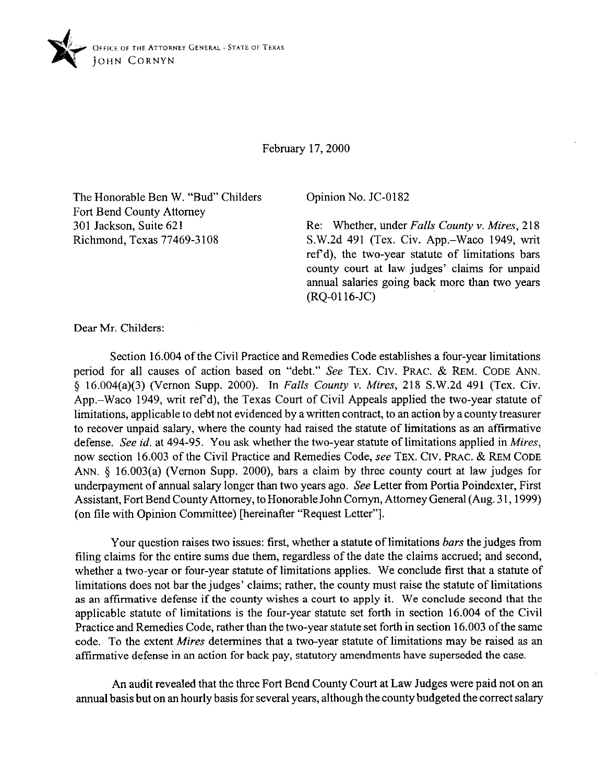

February 17,200O

The Honorable Ben W. "Bud" Childers Fort Bend County Attorney 301 Jackson, Suite 621 Richmond, Texas 77469-3 108

Opinion No. JC-0182

Re: Whether, under *Falls County v. Mires,* 218 S.W.2d 491 (Tex. Civ. App.-Waco 1949, writ ref'd), the two-year statute of limitations bars county court at law judges' claims for unpaid annual salaries going back more than two years (RQ-0116-JC)

Dear Mr. Childers:

Section 16.004 of the Civil Practice and Remedies Code establishes a four-year limitations period for all causes of action based on "debt." See **TEX. CIV. PRAC. & REM. CODE ANN.**  5 16.004(a)(3) (Vernon Supp. 2000). In *Fulls County Y. Mires,* 218 S.W.2d 491 (Tex. Civ. App.-Waco 1949, writ ref d), the Texas Court of Civil Appeals applied the two-year statute of limitations, applicable to debt not evidenced by a written contract, to an action by a county treasurer to recover unpaid salary, where the county had raised the statute of limitations as an affirmative defense. See *id.* at 494-95. You ask whether the two-year statute of limitations applied in *Mires,*  now section 16.003 of the Civil Practice and Remedies Code, see **TEX. CIV. PRAC. & REM CODE**  ANN. § 16.003(a) (Vernon Supp. 2000), bars a claim by three county court at law judges for underpayment of annual salary longer than two years ago. See Letter from Portia Poindexter, First Assistant, Fort Bend County Attorney, to Honorable John Comyn, Attorney General (Aug. 3 1,1999) (on file with Opinion Committee) [hereinafter "Request Letter"].

Your question raises two issues: first, whether a statute of limitations *bars* the judges from tiling claims for the entire sums due them, regardless of the date the claims accrued, and second, whether a two-year or four-year statute of limitations applies. We conclude first that a statute of limitations does not bar the judges' claims; rather, the county must raise the statute of limitations as an affirmative defense if the county wishes a court to apply it. We conclude second that the applicable statute of limitations is the four-year statute set forth in section 16.004 of the Civil Practice and Remedies Code, rather than the two-year statute set forth in section 16.003 of the same code. To the extent *Mires* determines that a two-year statute of limitations may be raised as an affirmative defense in an action for back pay, statutory amendments have superseded the case.

An audit revealed that the three Fort Bend County Court at Law Judges were paid not on an annual basis but on an hourly basis for several years, although the county budgeted the correct salary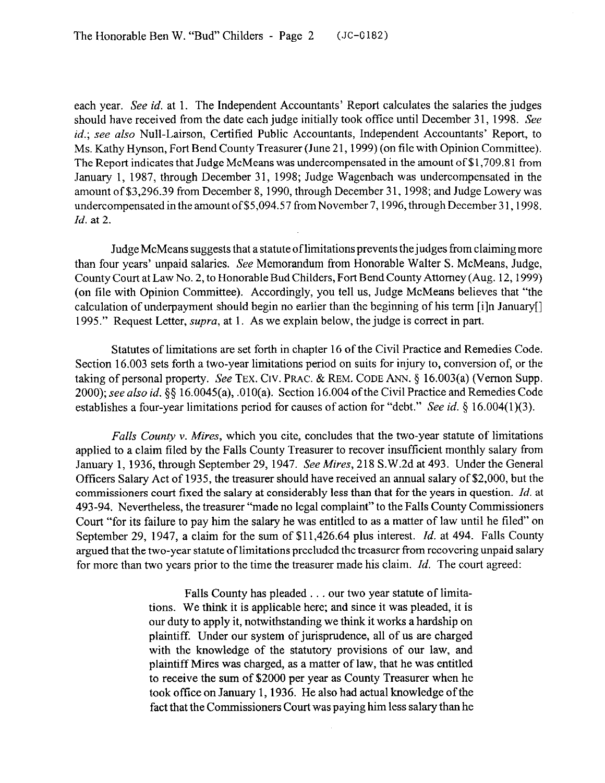each year. See *id.* at 1. The Independent Accountants' Report calculates the salaries the judges should have received from the date each judge initially took office until December 31, 1998. See *id.; see also* Null-Lairson, Certified Public Accountants, Independent Accountants' Report, to Ms. Kathy Hynson, Fort Bend County Treasurer (June 21,1999) (on tile with Opinion Committee). The Report indicates that Judge McMeans was undercompensated in the amount of \$1,709.81 from January 1, 1987, through December 31, 1998; Judge Wagenbach was undercompensated in the amount of \$3,296.39 from December 8,1990, through December 31,199s; and Judge Lowery was undercompensated in the amount of \$5,094.57 from November 7, 1996, through December 31, 1998. *Id.* at 2.

Judge McMeans suggests that a statute of limitations prevents the judges from claiming more than four years' unpaid salaries. See Memorandum from Honorable Walter S. McMeans, Judge, County Court at Law No. 2, to Honorable Bud Childers, Fort Bend County Attorney (Aug. 12,1999) (on tile with Opinion Committee). Accordingly, you tell us, Judge McMeans believes that "the calculation of underpayment should begin no earlier than the beginning of his term [i]n January[] 1995." Request Letter, *supra*, at 1. As we explain below, the judge is correct in part.

Statutes of limitations are set forth in chapter 16 of the Civil Practice and Remedies Code. Section 16.003 sets forth a two-year limitations period on suits for injury to, conversion of, or the taking of personal property. See **TEX. CIV. PRAC. & REM. CODE** ANN. § 16.003(a) (Vernon Supp. 2000); see *also id.* \$5 16.0045(a), .010(a). Section 16.004 ofthe Civil Practice and Remedies Code establishes a four-year limitations period for causes of action for "debt." See *id.* § 16.004(1)(3).

*Falls County v. Mires, which you cite, concludes that the two-year statute of limitations* applied to a claim filed by the Falls County Treasurer to recover insufficient monthly salary from January 1, 1936, through September 29, 1947. See *Mires,* 218 S.W.2d at 493. Under the General Officers Salary Act of 1935, the treasurer should have received an annual salary of \$2,000, but the commissioners court fixed the salary at considerably less than that for the years in question. *Id.* at 493-94. Nevertheless, the treasurer "made no legal complaint" to the Falls County Commissioners Court "for its failure to pay him the salary he was entitled to as a matter of law until he filed" on September 29, 1947, a claim for the sum of \$11,426.64 plus interest. *Id.* at 494. Falls County argued that the two-year statute of limitations precluded the treasurer from recovering unpaid salary for more than two years prior to the time the treasurer made his claim. *Id.* The court agreed:

> Falls County has pleaded . . . our two year statute of limitations. We think it is applicable here; and since it was pleaded, it is our duty to apply it, notwithstanding we think it works a hardship on plaintiff. Under our system of jurisprudence, all of us are charged with the knowledge of the statutory provisions of our law, and plaintiff Mires was charged, as a matter of law, that he was entitled to receive the sum of \$2000 per year as County Treasurer when he took office on January 1,1936. He also had actual knowledge ofthe fact that the Commissioners Court was paying him less salary than he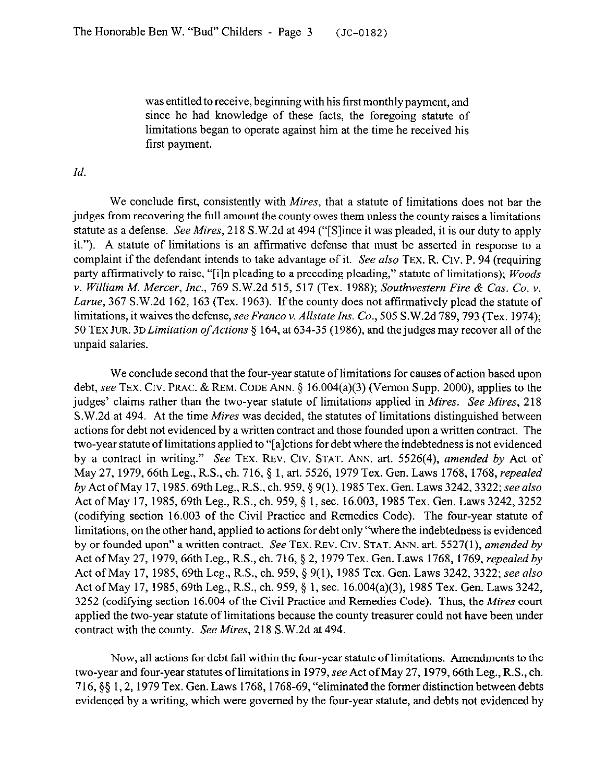was entitled to receive, beginning with his first monthly payment, and since he had knowledge of these facts, the foregoing statute of limitations began to operate against him at the time he received his first payment.

*Id.* 

We conclude first, consistently with *Mires,* that a statute of limitations does not bar the judges from recovering the full amount the county owes them unless the county raises a limitations statute as a defense. See *Mires,* 218 S.W.2d at 494 ("[Slince it was pleaded, it is our duty to apply it."). A statute of limitations is an affirmative defense that must be asserted in response to a complaint if the defendant intends to take advantage of it. See also **TEX.** R. CIV. P. 94 (requiring party affirmatively to raise, "[i]n pleading to a preceding pleading," statute of limitations); *Woods v. William M. Mercer, Inc., 769* S.W.2d 515, 517 *(Tex.* 1988); *Southwestern Fire & Cas. Co. v. Lame,* 367 S.W.2d 162, 163 (Tex. 1963). If the county does not affirmatively plead the statute of limitations, it waives the defense, *see Franco v. Allstate Ins. Co.*, 505 S.W.2d 789, 793 (Tex. 1974); 50 TEX JUR. 3D Limitation of Actions § 164, at 634-35 (1986), and the judges may recover all of the unpaid salaries.

We conclude second that the four-year statute of limitations for causes of action based upon debt, see TEX. CIV. PRAC. & REM. CODE ANN. § 16.004(a)(3) (Vernon Supp. 2000), applies to the judges' claims rather than the two-year statute of limitations applied in *Mires. See Mires,* 218 S.W.2d at 494. At the time *Mires* was decided, the statutes of limitations distinguished between actions for debt not evidenced by a written contract and those founded upon a written contract. The two-year statute of limitations applied to "[alctions for debt where the indebtedness is not evidenced by a contract in writing." See **TEX. REV. Crv. STAT. ANN.** art. 5526(4), *amended by* Act of May *27,* 1979, 66th Leg., R.S., ch. 716, *5 1, art. 5526,* 1979 Tex. Gen. Laws 1768, 1768, *repealed by* Act ofMay 17,1985,69th Leg., R.S., ch. 959, § 9(l), 1985 Tex. Gen. Laws 3242,3322; see *also*  Act of May 17, 1985, 69th Leg., R.S., ch. 959, § 1, sec. 16.003, 1985 Tex. Gen. Laws 3242, 3252 (codifying section 16.003 of the Civil Practice and Remedies Code). The four-year statute of limitations, on the other hand, applied to actions for debt only "where the indebtedness is evidenced by or founded upon" a written contract. See **TEX. REV. CIV. STAT. ANN.** *art.* 5527(l), *amended by*  Act ofMay *27,* 1979,66th Leg., R.S., ch. 716, *5 2,* 1979 Tex. Gen. Laws 1768, 1769, *repealed by*  Act ofMay 17, 1985,69th Leg., R.S., ch. 959, § 9(l), 1985 Tex. Gen. Laws 3242, 3322; see *also*  Act of May 17, 1985, 69th Leg., R.S., ch. 959, § 1, sec. 16.004(a)(3), 1985 Tex. Gen. Laws 3242, 3252 (codifying section 16.004 of the Civil Practice and Remedies Code). Thus, the *Mires court*  applied the two-year statute of limitations because the county treasurer could not have been under contract with the county. See *Mires,* 218 S.W.2d at 494.

Now, all actions for debt fall within the four-year statute of limitations. Amendments to the two-year and four-year statutes of limitations in 1979, see Act of May 27, 1979, 66th Leg., R.S., ch. 716, \$5 1,2, 1979 Tex. Gen. Laws 1768,1768-69, "eliminated the former distinctionbetween debts evidenced by a writing, which were governed by the four-year statute, and debts not evidenced by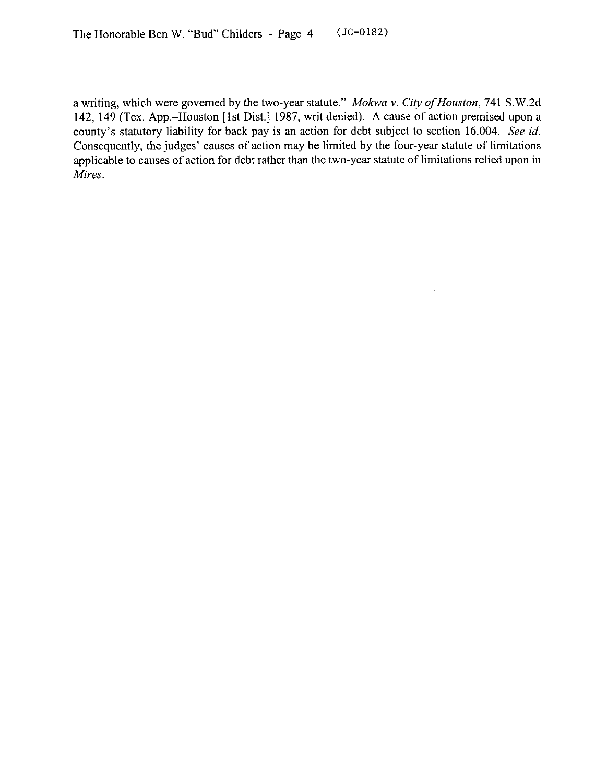a writing, which were governed by the two-year statute." Mokwa v. City of Houston, 741 S.W.2d 142, 149 (Tex. App.-Houston [lst Dist.] 1987, writ denied). A cause of action premised upon a county's statutory liability for back pay is an action for debt subject to section 16.004. See *id.*  Consequently, the judges' causes of action may be limited by the four-year statute of limitations applicable to causes of action for debt rather than the two-year statute of limitations relied upon in *Mires.* 

 $\sim$ 

 $\bar{z}$